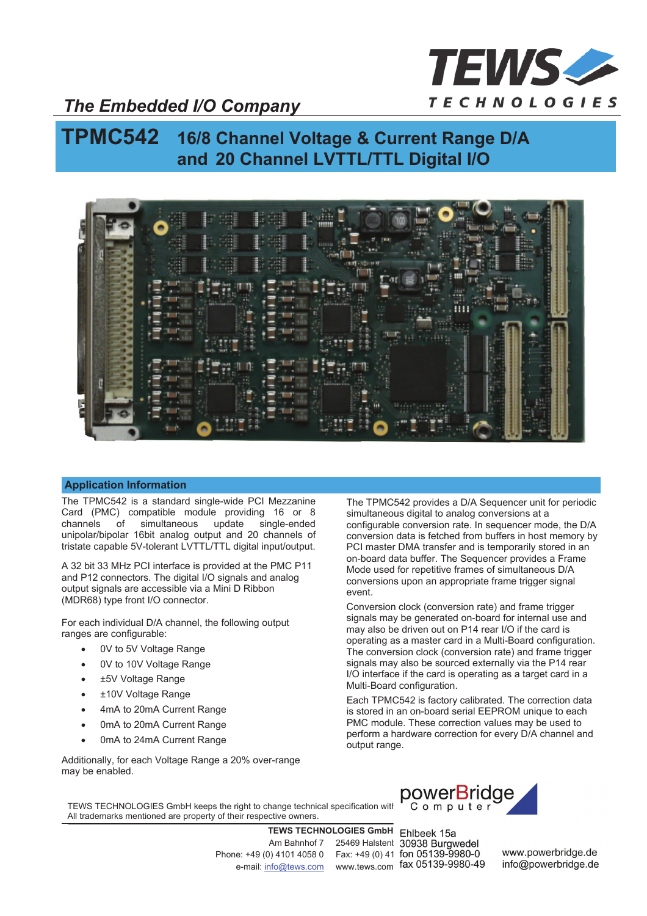

### *The Embedded I/O Company*

# **TPMC542 16/8 Channel Voltage & Current Range D/A and 20 Channel LVTTL/TTL Digital I/O**



#### **Application Information**

The TPMC542 is a standard single-wide PCI Mezzanine Card (PMC) compatible module providing 16 or 8 channels of simultaneous update single-ended unipolar/bipolar 16bit analog output and 20 channels of tristate capable 5V-tolerant LVTTL/TTL digital input/output.

A 32 bit 33 MHz PCI interface is provided at the PMC P11 and P12 connectors. The digital I/O signals and analog output signals are accessible via a Mini D Ribbon (MDR68) type front I/O connector.

For each individual D/A channel, the following output ranges are configurable:

- 0V to 5V Voltage Range
- 0V to 10V Voltage Range
- ±5V Voltage Range
- ±10V Voltage Range
- 4mA to 20mA Current Range
- 0mA to 20mA Current Range
- 0mA to 24mA Current Range

Additionally, for each Voltage Range a 20% over-range may be enabled.

The TPMC542 provides a D/A Sequencer unit for periodic simultaneous digital to analog conversions at a configurable conversion rate. In sequencer mode, the D/A conversion data is fetched from buffers in host memory by PCI master DMA transfer and is temporarily stored in an on-board data buffer. The Sequencer provides a Frame Mode used for repetitive frames of simultaneous D/A conversions upon an appropriate frame trigger signal event.

Conversion clock (conversion rate) and frame trigger signals may be generated on-board for internal use and may also be driven out on P14 rear I/O if the card is operating as a master card in a Multi-Board configuration. The conversion clock (conversion rate) and frame trigger signals may also be sourced externally via the P14 rear I/O interface if the card is operating as a target card in a Multi-Board configuration.

Each TPMC542 is factory calibrated. The correction data is stored in an on-board serial EEPROM unique to each PMC module. These correction values may be used to perform a hardware correction for every D/A channel and output range.

TEWS TECHNOLOGIES GmbH keeps the right to change technical specification with **proform** put ter All trademarks mentioned are property of their respective owners.

> **TEWS TECHNOLOGIES GmbH** Am Bahnhof 7 25469 Halstenl 30938 Burgwedel Phone: +49 (0) 4101 4058 0 Fax: +49 (0) 41 fon 05139-9980-0 e-mail: info@tews.com www.tews.com fax 05139-9980-49



Ehlbeek 15a

www.powerbridge.de info@powerbridge.de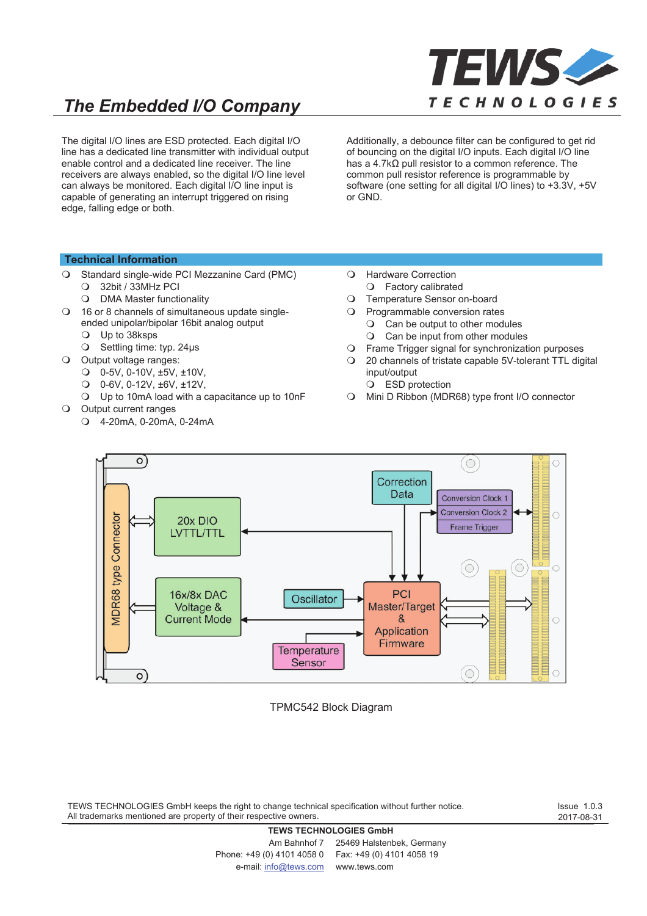

# *The Embedded I/O Company*

The digital I/O lines are ESD protected. Each digital I/O line has a dedicated line transmitter with individual output enable control and a dedicated line receiver. The line receivers are always enabled, so the digital I/O line level can always be monitored. Each digital I/O line input is capable of generating an interrupt triggered on rising edge, falling edge or both.

Additionally, a debounce filter can be configured to get rid of bouncing on the digital I/O inputs. Each digital I/O line has a 4.7 $\overline{X}$  pull resistor to a common reference. The common pull resistor reference is programmable by software (one setting for all digital I/O lines) to +3.3V, +5V or GND.

#### **Technical Information**

- Standard single-wide PCI Mezzanine Card (PMC)
	- 32bit / 33MHz PCI
	- O DMA Master functionality
- 16 or 8 channels of simultaneous update singleended unipolar/bipolar 16bit analog output
	- Up to 38ksps
	- $\bigcirc$  Settling time: typ. 24µs
- O Output voltage ranges:
	- 0-5V, 0-10V, ±5V, ±10V,
	- 0-6V, 0-12V, ±6V, ±12V,
	- Up to 10mA load with a capacitance up to 10nF
- Output current ranges
	- 4-20mA, 0-20mA, 0-24mA
- Hardware Correction Factory calibrated
- Temperature Sensor on-board
- Programmable conversion rates
	- Can be output to other modules
		- O Can be input from other modules
- Frame Trigger signal for synchronization purposes
- 20 channels of tristate capable 5V-tolerant TTL digital input/output
	- ESD protection
- Mini D Ribbon (MDR68) type front I/O connector



#### TPMC542 Block Diagram

TEWS TECHNOLOGIES GmbH keeps the right to change technical specification without further notice. All trademarks mentioned are property of their respective owners.

Issue 1.0.3 2017-08-31

#### **TEWS TECHNOLOGIES GmbH**

Am Bahnhof 7 25469 Halstenbek, Germany Phone: +49 (0) 4101 4058 0 Fax: +49 (0) 4101 4058 19 e-mail: info@tews.com www.tews.com